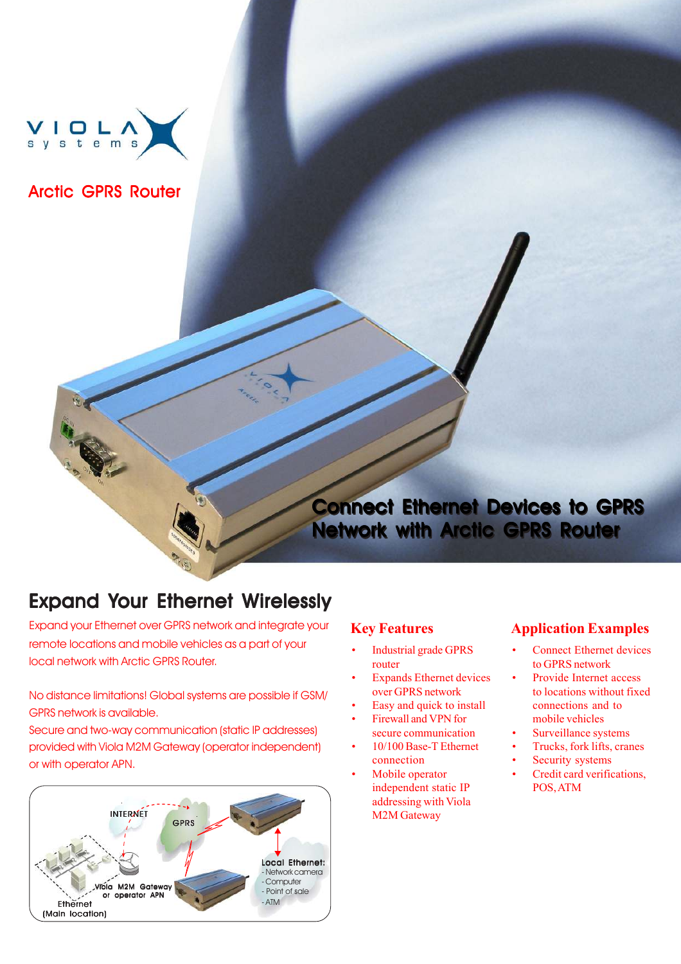

### Arctic GPRS Router

# Connect Ethernet Devices to GPRS Connect Ethernet Devices to GPRS Network with Arctic GPRS Router Network with Arctic GPRS Router

# Expand Your Ethernet Wirelessly

Expand your Ethernet over GPRS network and integrate your remote locations and mobile vehicles as a part of your local network with Arctic GPRS Router.

No distance limitations! Global systems are possible if GSM/ GPRS network is available.

Secure and two-way communication (static IP addresses) provided with Viola M2M Gateway (operator independent) or with operator APN.



### **Key Features**

- Industrial grade GPRS router
- Expands Ethernet devices over GPRS network
- Easy and quick to install
- Firewall and VPN for
- secure communication 10/100 Base-T Ethernet connection
- Mobile operator independent static IP addressing with Viola M2M Gateway

### **Application Examples**

- **Connect Ethernet devices** to GPRS network
- Provide Internet access to locations without fixed connections and to mobile vehicles
- Surveillance systems
- Trucks, fork lifts, cranes
- Security systems
- Credit card verifications, POS, ATM